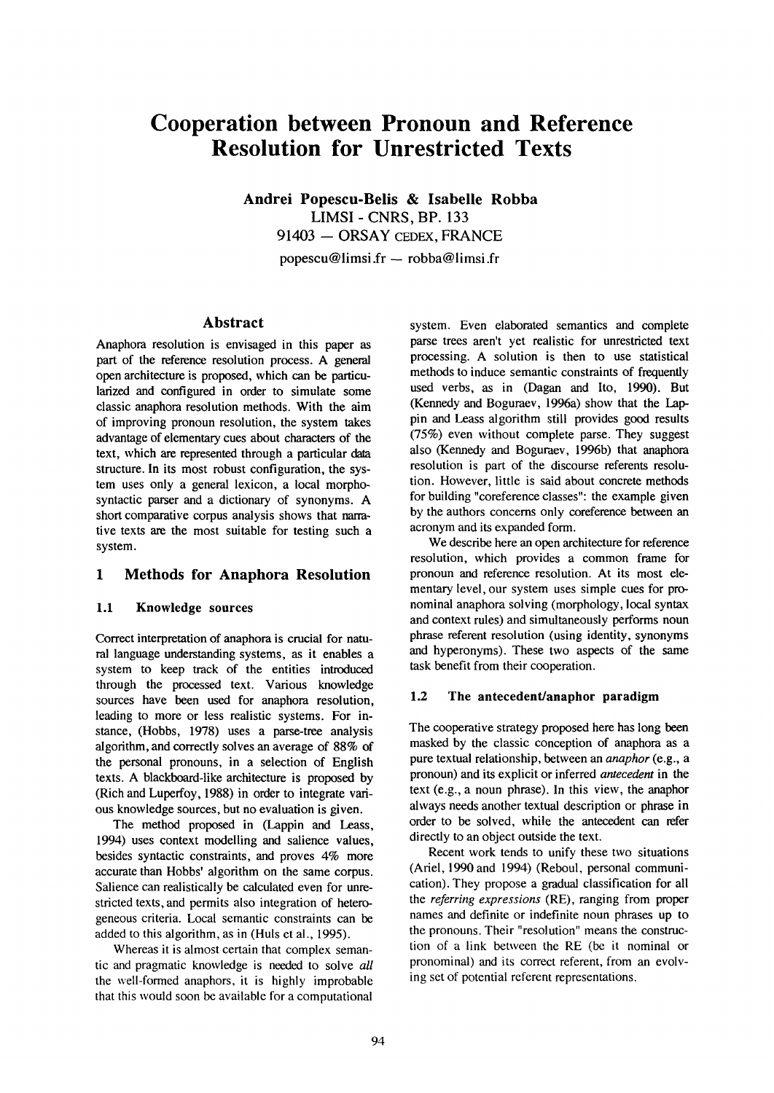# **Cooperation between Pronoun and Reference Resolution for Unrestricted Texts**

**Andrei Popescu-Belis & lsabelle Robba**  LIMSI - CNRS, BP. 133 91403 - ORSAY CEDEX, FRANCE popescu@limsi.fr — robba@limsi.fr

# **Abstract**

Anaphora resolution is envisaged in this paper as part of the reference resolution process. A general open architecture is proposed, which can be particularized and configured in order to simulate some classic anaphora resolution methods. With the **aim**  of improving pronoun resolution, the system takes advantage of elementary cues about characters of the text, which are represented through a particular data structure. In its most robust configuration, the system uses only a general lexicon, a local morphosyntactic parser and a dictionary of synonyms. A short comparative corpus analysis shows that narrative texts are the most suitable for testing such a system.

# **1 Methods for Anaphora Resolution**

#### **1.1 Knowledge sources**

Correct interpretation of anaphora is crucial for natural language understanding systems, as it enables a system to keep track of the entities introduced through the processed text. Various knowledge sources have been used for anaphora resolution, leading to more or less realistic systems. For instance, (Hobbs, 1978) uses a parse-tree analysis algorithm, and correctly solves an average of 88% of the personal pronouns, in a selection of English texts. A blackboard-like architecture is proposed by (Rich and Luperfoy, 1988) in order to integrate various knowledge sources, but no evaluation is given.

The method proposed in (Lappin and Leass, 1994) uses context modelling and salience values, besides syntactic constraints, and proves 4% more accurate than Hobbs' algorithm on the same corpus. Salience can realistically be calculated even for unrestricted texts, and permits also integration of heterogeneous criteria. Local semantic constraints can be added to this algorithm, as in (Huls et al., 1995).

Whereas it is almost certain that complex semantic and pragmatic knowledge is needed to solve all the well-formed anaphors, it is highly improbable that this would soon be available for a computational

system. Even elaborated semantics and complete parse trees aren't yet realistic for unrestricted text processing. A solution is then to use statistical methods to induce semantic constraints of frequently used verbs, as in (Dagan and Ito, 1990). But (Kennedy and Boguraev, 1996a) show that the lappin and Leass algorithm still provides good results (75%) even without complete parse. They suggest also (Kennedy and Boguraev, 1996b) that anaphora resolution is part of the discourse referents resolution. However, little is said about concrete methods for building "coreference classes": the example given by the authors concerns only coreference between an acronym and its expanded form.

We describe here an open architecture for reference resolution, which provides a common frame for pronoun and reference resolution. At its most elementary level, our system uses simple cues for pronominal anaphora solving (morphology, local syntax and context rules) and simultaneously performs noun phrase referent resolution (using identity, synonyms and hyperonyms). These two aspects of the same task benefit from their cooperation.

#### **1.2 The antecedent/anaphor paradigm**

The cooperative strategy proposed here has long been masked by the classic conception of anaphora as a pure textual relationship, between an *anaphor* (e.g., a pronoun) and its explicit or inferred *antecedent* in the text (e.g., a noun phrase). In this view, the anaphor always needs another textual description or phrase in order to be solved, while the antecedent can **refer**  directly to an object outside the text.

Recent work tends to unify these two situations (Ariel, 1990 and 1994) (Reboul, personal communication). They propose a gradual classification for all the *referring expressions* (RE), ranging from proper names and definite or indefinite noun phrases up to the pronouns. Their "resolution" means the construction of a link between the RE (be it nominal or pronominal) and its correct referent, from an evolving set of potential referent representations.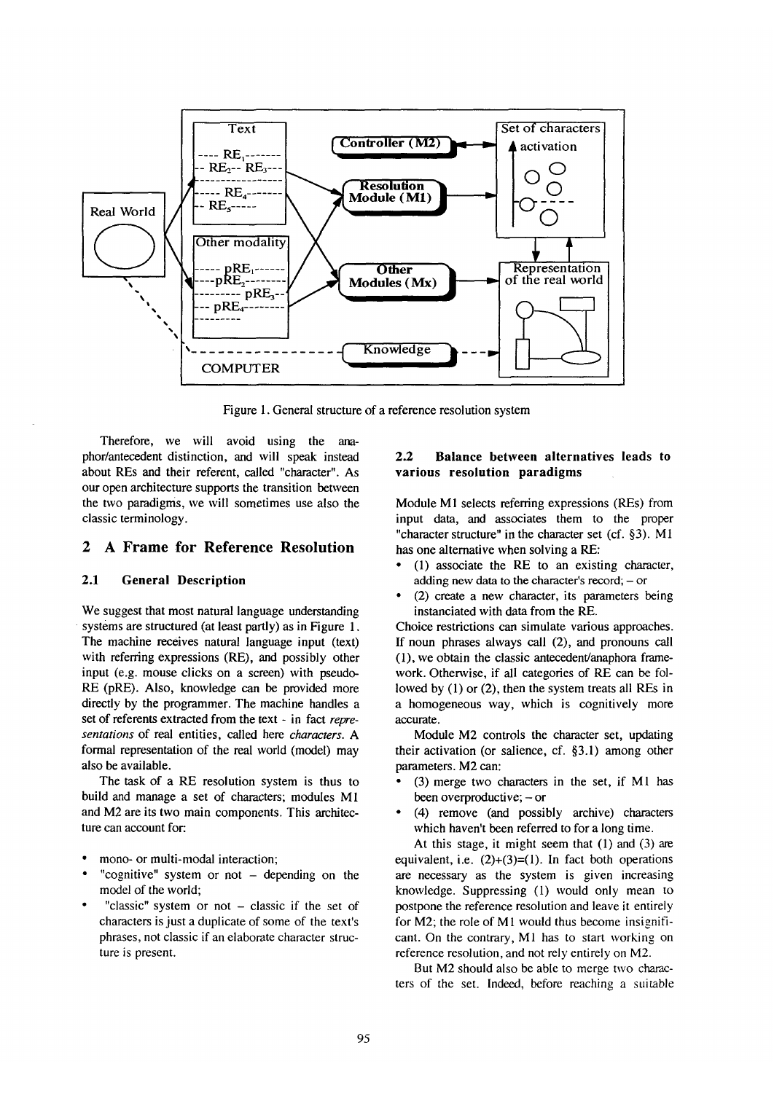

Figure 1. General structure of a reference resolution system

Therefore, we will avoid using the anaphor/antecedent distinction, and will speak instead about REs and their referent, called "character". As our open architecture supports the transition between the two paradigms, we will sometimes use also the classic terminology.

# **2 A Frame for Reference Resolution**

#### **2.1 General Description**

We suggest that most natural language understanding systems are structured (at least partly) as in Figure 1. The machine receives natural language input (text) with referring expressions (RE), and possibly other input (e.g. mouse clicks on a screen) with pseudo-RE (pRE). Also, knowledge can be provided more directly by the programmer. The machine handles a set of referents extracted from the text - in fact *representations* of real entities, called here *characters. A*  formal representation of the real world (model) may also be available.

The task of a RE resolution system is thus to build and manage a set of characters; modules M1 and M2 are its two main components. This architecture can account for:

- mono- or multi-modal interaction;
- "cognitive" system or not  $-$  depending on the model of the world;
- "classic" system or not  $-$  classic if the set of characters is just a duplicate of some of the text's phrases, not classic if an elaborate character structure is present.

#### **2.2 Balance between alternatives leads to various resolution paradigms**

Module M1 selects referring expressions (REs) from input data, and associates them to the proper "character structure" in the character set (cf. §3). M1 has one alternative when solving a RE:

- (1) associate the RE to an existing character, adding new data to the character's record;  $-$  or
- (2) create a new character, its parameters being instanciated with data from the RE.

Choice restrictions can simulate various approaches. If noun phrases always call (2), and pronouns call (1), we obtain the classic antecedent/anaphora framework. Otherwise, if all categories of RE can be followed by (1) or (2), then the system treats all REs in a homogeneous way, which is cognitively more accurate.

Module M2 controls the character set, updating their activation (or salience, cf. §3.1) among other parameters. M2 can:

- (3) merge two characters in the set, if M1 has been overproductive;  $-$  or
- (4) remove (and possibly archive) characters which haven't been referred to for a long time.

At this stage, it might seem that (1) and (3) are equivalent, i.e.  $(2)+(3)=(1)$ . In fact both operations are necessary as the system is given increasing knowledge. Suppressing (1) would only mean to postpone the reference resolution and leave it entirely for  $M2$ ; the role of  $M1$  would thus become insignificant. On the contrary, MI has to start working on reference resolution, and not rely entirely on M2.

But M2 should also be able to merge two characters of the set. Indeed, before reaching a suitable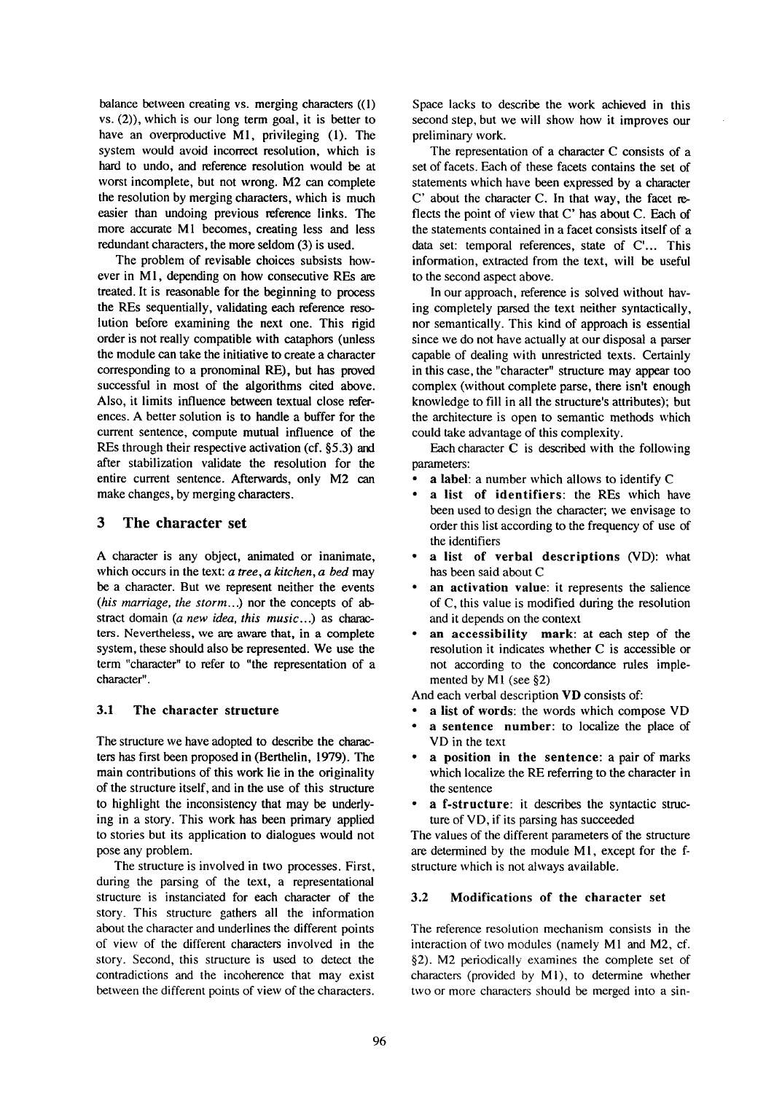balance between creating vs. merging characters ((1) vs. (2)), which is our long term goal, it is better to have an overproductive M1, privileging (1). The system would avoid incorrect resolution, which is hard to undo, and reference resolution would be at worst incomplete, but not wrong. M2 can complete the resolution by merging characters, which is much easier than undoing previous reference links. The more accurate M1 becomes, creating less and less redundant characters, the more seldom (3) is used.

The problem of revisable choices subsists however in M1, depending on how consecutive REs are treated. It is reasonable for the beginning to process the REs sequentially, validating each reference resolution before examining the next one. This rigid order is not really compatible with cataphors (unless the module can take the initiative to create a character corresponding to a pronominal RE), but has proved successful in most of the algorithms cited above. Also, it limits influence between textual close references. A better solution is to handle a buffer for the current sentence, compute mutual influence of the REs through their respective activation (cf. §5.3) and after stabilization validate the resolution for the entire current sentence. Afterwards, only M2 can make changes, by merging characters.

## **3 The character set**

A character is any object, animated or inanimate, which occurs in the text: *a tree, a kitchen, a bed* may be a character. But we represent neither the events *(his marriage, the storm...)* nor the concepts of abstract domain *(a new idea, this music...)* as characters. Nevertheless, we are aware that, in a complete system, these should also be represented. We use the term "character" to refer to "the representation of a character".

## **3.1 The character structure**

The structure we have adopted to describe the characters has first been proposed in (Berthelin, 1979). The main contributions of this work lie in the originality of the structure itself, and in the use of this structure to highlight the inconsistency that may be underlying in a story. This work has been primary applied to stories but its application to dialogues would not pose any problem.

The structure is involved in two processes. First, during the parsing of the text, a representational structure is instanciated for each character of the story. This structure gathers all the information about the character and underlines the different points of view of the different characters involved in the story. Second, this structure is used to detect the contradictions and the incoherence that may exist between the different points of view of the characters. Space lacks to describe the work achieved in this second step, but we will show how it improves our preliminary work.

The representation of a character C consists of a set of facets. Each of these facets contains the set of statements which have been expressed by a character C' about the character C. In that way, the facet reflects the point of view that C' has about C. Each of the statements contained in a facet consists itself of a data set: temporal references, state of C'... This information, extracted from the text, will be useful to the second aspect above.

In our approach, reference is solved without having completely parsed the text neither syntactically, nor semantically. This kind of approach is essential since we do not have actually at our disposal a parser capable of dealing with unrestricted texts. Certainly in this case, the "character" structure may appear too complex (without complete parse, there isn't enough knowledge to fill in all the structure's attributes); but the architecture is open to semantic methods which could take advantage of this complexity.

Each character  $C$  is described with the following parameters:

- a label: a number which allows to identify C
- a list **of identifiers:** the REs which have been used to design the character; we envisage to order this list according to the frequency of use of the identifiers
- **a list of verbal descriptions (VD):** what has been said about C
- an activation value: it represents the salience of C, this value is modified during the resolution and it depends on the context
- **an accessibility mark: at each step** of the resolution it indicates whether C is accessible or not according to the concordance rules implemented by M1 (see §2)

And each verbal description VD consists of:

- a list **of words:** the words which compose VD
- a **sentence number:** to localize the place of VD in the text
- **a position in the sentence: a** pair of marks which localize the RE referring to the character in the sentence
- **a f-structure:** it describes the syntactic structure of VD, if its parsing has succeeded

The values of the different parameters of the structure are determined by the module MI, except for the fstructure which is not always available.

## **3.2 Modifications of the character set**

The reference resolution mechanism consists in the interaction of two modules (namely M1 and M2, cf. §2). M2 periodically examines the complete set of characters (provided by M1), to determine whether two or more characters should be merged into a sin-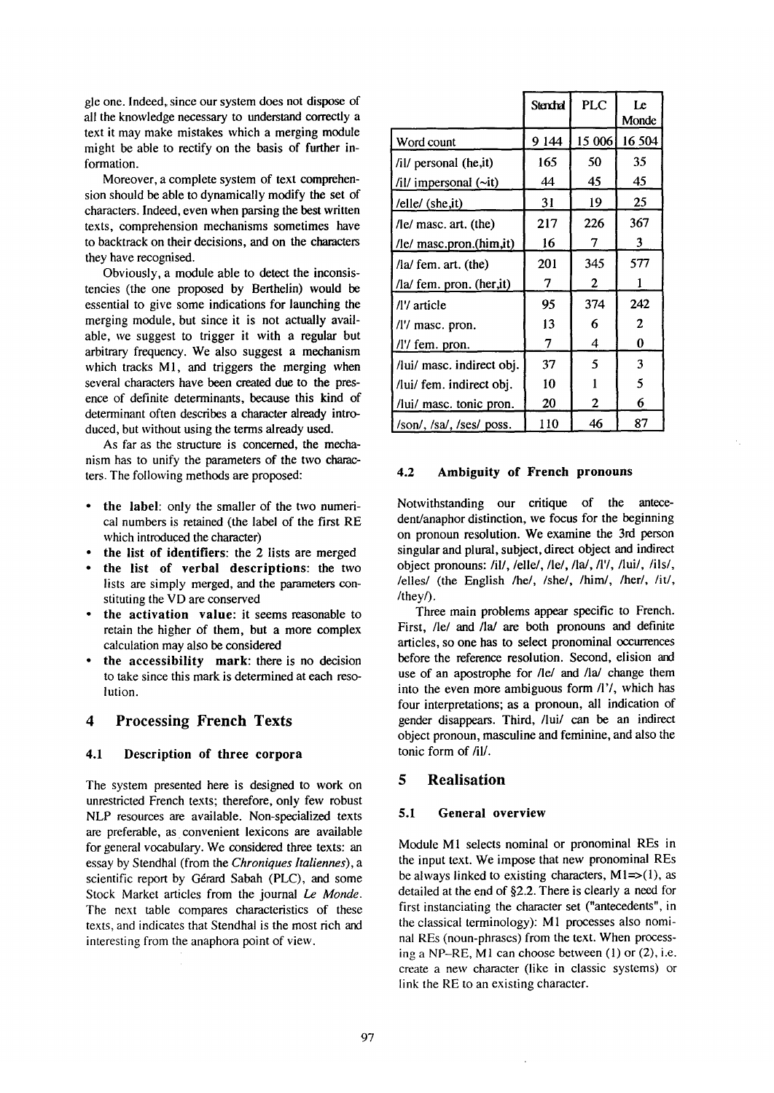gle one. Indeed, since our system does not dispose of all the knowledge necessary to understand correctly a text it may make mistakes which a merging module might be able to rectify on the basis of further information.

Moreover, a complete system of text comprehension should be able to dynamically modify the set of characters. Indeed, even when parsing the best written texts, comprehension mechanisms sometimes have to backtrack on their decisions, and on the characters they have recognised.

Obviously, a module able to detect the inconsistencies (the one proposed by Berthelin) would be essential to give some indications for launching the merging module, but since it is not actually available, we suggest to trigger it with a regular but arbitrary frequency. We also suggest a mechanism which tracks M1, and triggers the merging when several characters have been created due to the presence of definite determinants, because this kind of determinant often describes a character already introduced, but without using the terms already used.

As far as the structure is concemed, the mechanism has to unify the parameters of the two characters. The following methods are proposed:

- the label: only the smaller of the two numerical numbers is retained (the label of the first RE which introduced the character)
- the list **of identifiers: the** 2 lists are merged
- the list of verbal **descriptions: the** two lists are simply merged, and the parameters constituting the VD are conserved
- **the activation value:** it seems reasonable to retain the higher of them, but a more complex calculation may also be considered
- the accessibility mark: there is no decision to take since this mark is determined at each resolution.

## **4 Processing French Texts**

#### **4.1 Description of three corpora**

The system presented here is designed to work on unrestricted French texts; therefore, only few robust NLP resources are available. Non-specialized texts are preferable, as convenient lexicons are available for general vocabulary. We considered three texts: an essay by Stendhal (from the *Chroniques ltaliennes), a*  scientific report by Gérard Sabah (PLC), and some Stock Market articles from the journal Le *Monde.*  The next table compares characteristics of these texts, and indicates that Stendhal is the most rich and interesting from the anaphora point of view.

|                                  | Stendral | <b>PLC</b> | Le<br>Monde  |
|----------------------------------|----------|------------|--------------|
| Word count                       | 9 144    | 15 006     | 16 504       |
| /il/ personal (he,it)            | 165      | 50         | 35           |
| /il/ impersonal (~it)            | 44       | 45         | 45           |
| /elle/ (she, it)                 | 31       | 19         | 25           |
| $\sqrt{e}$ masc. art. (the)      | 217      | 226        | 367          |
| /le/ masc.pron.(him,it)          | 16       | 7          | 3            |
| $\int$ la/ fem. art. (the)       | 201      | 345        | 577          |
| /la/ fem. pron. (her,it)         | 7        | 2          | 1            |
| /l'/ article                     | 95       | 374        | 242          |
| /l'/ masc. pron.                 | 13       | 6          | $\mathbf{2}$ |
| /l'/ fem. pron.                  | 7        | 4          | 0            |
| /lui/ masc. indirect obj.        | 37       | 5          | 3            |
| /lui/ fem. indirect obj.         | 10       | 1          | 5            |
| /lui/ masc. tonic pron.          | 20       | 2          | 6            |
| $/son/$ , $/sa/$ , $/ses/$ poss. | 110      | 46         | 87           |

#### **4.2 Ambiguity of French pronouns**

Notwithstanding our critique of the antecedent/anaphor distinction, we focus for the beginning on pronoun resolution. We examine the 3rd person singular and plural, subject, direct object and indirect object pronouns:/il/,/elle/,/le/,/la/,/1'/,/lui/, /ils/, /elles/ (the English /he/, /she/, /him/, /her/, /it/, /they/).

Three main problems appear specific to French. First, /le/ and /la/ are both pronouns and definite articles, so one has to select pronominal occurrences before the reference resolution. Second, elision and use of an apostrophe for /le/ and /la/ change them into the even more ambiguous form/1'/, which has four interpretations; as a pronoun, all indication of gender disappears. Third, /lui/ can be an indirect object pronoun, masculine and feminine, and also the tonic form of /il/.

## **5 Realisation**

#### **5.1 General overview**

Module M1 selects nominal or pronominal REs in the input text. We impose that new pronominal REs be always linked to existing characters,  $M1 = > (1)$ , as detailed at the end of §2.2. There is clearly a need for first instanciating the character set ("antecedents", in the classical terminology): M1 processes also nominal REs (noun-phrases) from the text. When processing a NP-RE, MI can choose between (1) or (2), i.e. create a new character (like in classic systems) or link the RE to an existing character.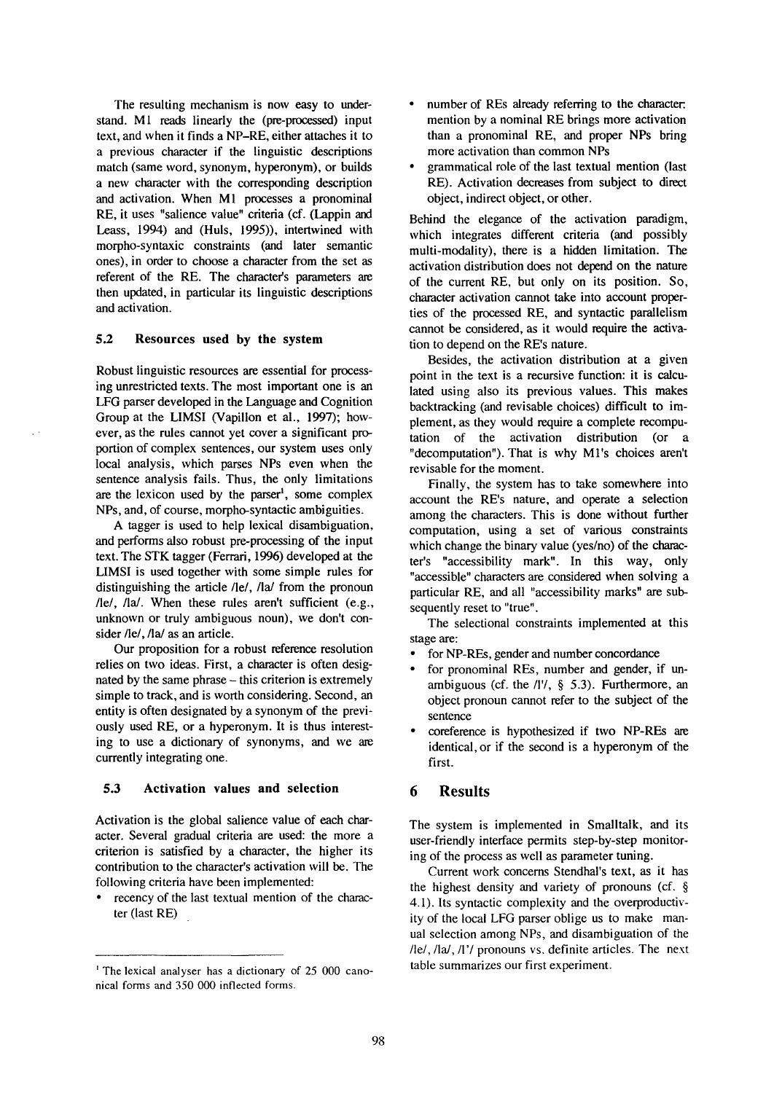The resulting mechanism is now easy to understand. M1 reads linearly the (pre-processed) input text, and when it finds a NP-RE, either attaches it to a previous character if the linguistic descriptions match (same word, synonym, hyperonym), or builds a new character with the corresponding description and activation. When MI processes a pronominal RE, it uses "salience value" criteria (cf. (Lappin and Leass, 1994) and (Huis, 1995)), intertwined with morpho-syntaxic constraints (and later semantic ones), in order to choose a character from the set as referent of the RE. The character's parameters are then updated, in particular its linguistic descriptions and activation.

#### **5.2 Resources used by the system**

Robust linguistic resources are essential for processing unrestricted texts. The most important one is an LFG parser developed in the Language and Cognition Group at the LIMSI (Vapillon et al., 1997); however, as the rules cannot yet cover a significant proportion of complex sentences, our system uses only local analysis, which parses NPs even when the sentence analysis fails. Thus, the only limitations are the lexicon used by the parser<sup>1</sup>, some complex NPs, and, of course, morpho-syntactic ambiguities.

A tagger is used to help lexical disambiguation, and performs also robust pre-processing of the input text. The STK tagger (Ferrari, 1996) developed at the LIMSI is used together with some simple rules for distinguishing the article  $\ell$ le/,  $\ell$ la/from the pronoun /le/, /la/. When these rules aren't sufficient (e.g., unknown or truly ambiguous noun), we don't consider /le/, /la/ as an article.

Our proposition for a robust reference resolution relies on two ideas. First, a character is often designated by the same phrase - this criterion is extremely simple to track, and is worth considering. Second, an entity is often designated by a synonym of the previously used RE, or a hyperonym. It is thus interesting to use a dictionary of synonyms, and we are currently integrating one.

## **5.3 Activation values and selection**

Activation is the global salience value of each character. Several gradual criteria are used: the more a criterion is satisfied by a character, the higher its contribution to the character's activation will be. The following criteria have been implemented:

recency of the last textual mention of the character (last RE)

- number of REs already referring to the character: mention by a nominal RE brings more activation than a pronominal RE, and proper NPs bring more activation than common NPs
- grammatical role of the last textual mention (last RE). Activation decreases from subject to direct object, indirect object, or other.

Behind the elegance of the activation paradigm, which integrates different criteria (and possibly multi-modality), there is a hidden limitation. The activation distribution does not depend on the nature of the current RE, but only on its position. So, character activation cannot take into account properties of the processed RE, and syntactic parallelism cannot be considered, as it would require the activation to depend on the RE's nature.

Besides, the activation distribution at a given point in the text is a recursive function: it is calculated using also its previous values. This makes backtracking (and revisable choices) difficult to implement, as they would require a complete recomputation of the activation distribution (or a "decomputation"). That is why Ml's choices aren't revisable for the moment.

Finally, the system has to take somewhere into account the RE's nature, and operate a selection among the characters. This is done without further computation, using a set of various constraints which change the binary value (yes/no) of the character's "accessibility mark". In this way, only "accessible" characters are considered when solving a particular RE, and all "accessibility marks" are subsequently reset to "true".

The selectional constraints implemented at this stage are:

- for NP-REs, gender and number concordance
- for pronominal REs, number and gender, if unambiguous (cf. the  $/1\frac{1}{9}$ , § 5.3). Furthermore, an object pronoun cannot refer to the subject of the sentence
- coreference is hypothesized if two NP-REs are identical, or if the second is a hyperonym of the first.

## **6 Results**

The system is implemented in Smalltalk, and its user-friendly interface permits step-by-step monitoring of the process as well as parameter tuning.

Current work concerns Stendhal's text, as it has the highest density and variety of pronouns (cf. § 4.1). Its syntactic complexity and the overproductivity of the local LFG parser oblige us to make manual selection among NPs, and disambiguation of the  $/$ le/,  $/$ la/,  $/$ l'/ pronouns vs. definite articles. The next table summarizes our first experiment.

<sup>~</sup>The lexical analyser has a dictionary of 25 000 canonical forms and 350 000 inflected forms.